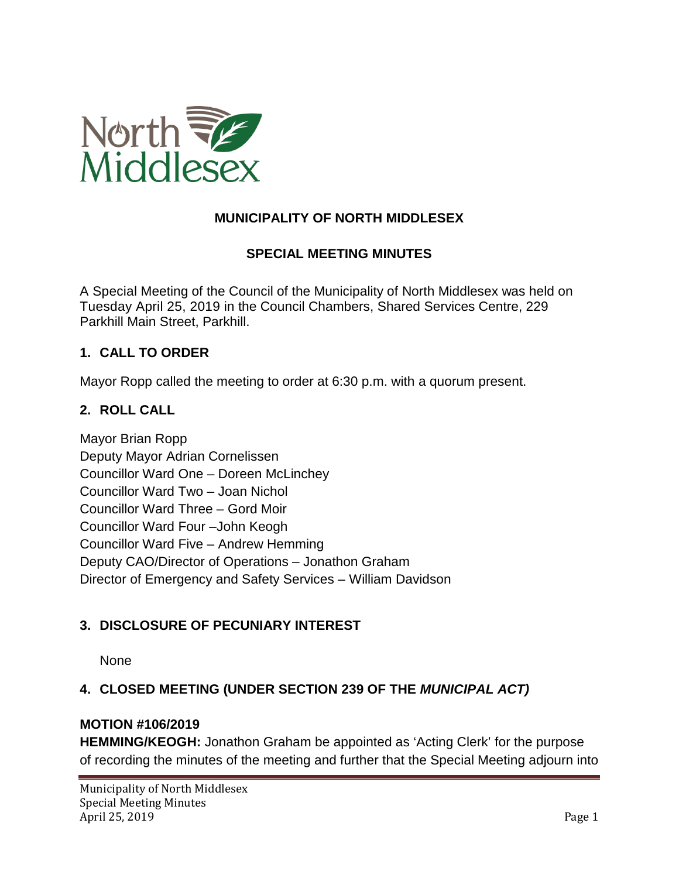

# **MUNICIPALITY OF NORTH MIDDLESEX**

## **SPECIAL MEETING MINUTES**

A Special Meeting of the Council of the Municipality of North Middlesex was held on Tuesday April 25, 2019 in the Council Chambers, Shared Services Centre, 229 Parkhill Main Street, Parkhill.

### **1. CALL TO ORDER**

Mayor Ropp called the meeting to order at 6:30 p.m. with a quorum present.

### **2. ROLL CALL**

Mayor Brian Ropp Deputy Mayor Adrian Cornelissen Councillor Ward One – Doreen McLinchey Councillor Ward Two – Joan Nichol Councillor Ward Three – Gord Moir Councillor Ward Four –John Keogh Councillor Ward Five – Andrew Hemming Deputy CAO/Director of Operations – Jonathon Graham Director of Emergency and Safety Services – William Davidson

### **3. DISCLOSURE OF PECUNIARY INTEREST**

None

## **4. CLOSED MEETING (UNDER SECTION 239 OF THE** *MUNICIPAL ACT)*

### **MOTION #106/2019**

**HEMMING/KEOGH:** Jonathon Graham be appointed as 'Acting Clerk' for the purpose of recording the minutes of the meeting and further that the Special Meeting adjourn into